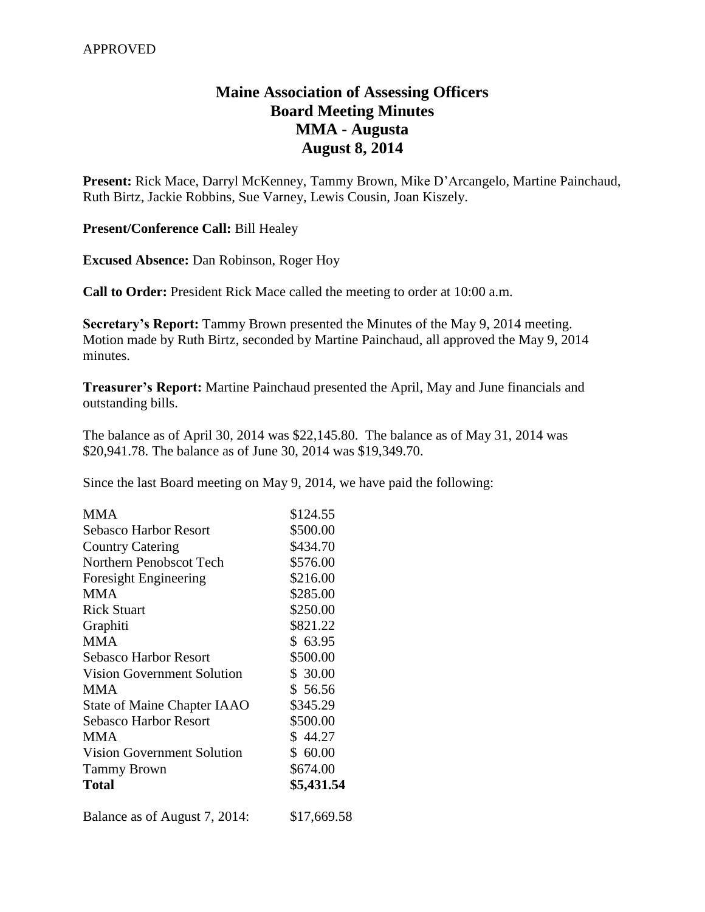## **Maine Association of Assessing Officers Board Meeting Minutes MMA - Augusta August 8, 2014**

**Present:** Rick Mace, Darryl McKenney, Tammy Brown, Mike D'Arcangelo, Martine Painchaud, Ruth Birtz, Jackie Robbins, Sue Varney, Lewis Cousin, Joan Kiszely.

**Present/Conference Call:** Bill Healey

**Excused Absence:** Dan Robinson, Roger Hoy

**Call to Order:** President Rick Mace called the meeting to order at 10:00 a.m.

**Secretary's Report:** Tammy Brown presented the Minutes of the May 9, 2014 meeting. Motion made by Ruth Birtz, seconded by Martine Painchaud, all approved the May 9, 2014 minutes.

**Treasurer's Report:** Martine Painchaud presented the April, May and June financials and outstanding bills.

The balance as of April 30, 2014 was \$22,145.80. The balance as of May 31, 2014 was \$20,941.78. The balance as of June 30, 2014 was \$19,349.70.

Since the last Board meeting on May 9, 2014, we have paid the following:

| <b>MMA</b>                         | \$124.55    |
|------------------------------------|-------------|
| Sebasco Harbor Resort              | \$500.00    |
| <b>Country Catering</b>            | \$434.70    |
| Northern Penobscot Tech            | \$576.00    |
| Foresight Engineering              | \$216.00    |
| <b>MMA</b>                         | \$285.00    |
| <b>Rick Stuart</b>                 | \$250.00    |
| Graphiti                           | \$821.22    |
| <b>MMA</b>                         | \$63.95     |
| Sebasco Harbor Resort              | \$500.00    |
| Vision Government Solution         | \$30.00     |
| <b>MMA</b>                         | \$56.56     |
| <b>State of Maine Chapter IAAO</b> | \$345.29    |
| <b>Sebasco Harbor Resort</b>       | \$500.00    |
| <b>MMA</b>                         | \$44.27     |
| <b>Vision Government Solution</b>  | \$60.00     |
| <b>Tammy Brown</b>                 | \$674.00    |
| <b>Total</b>                       | \$5,431.54  |
| Balance as of August 7, 2014:      | \$17,669.58 |
|                                    |             |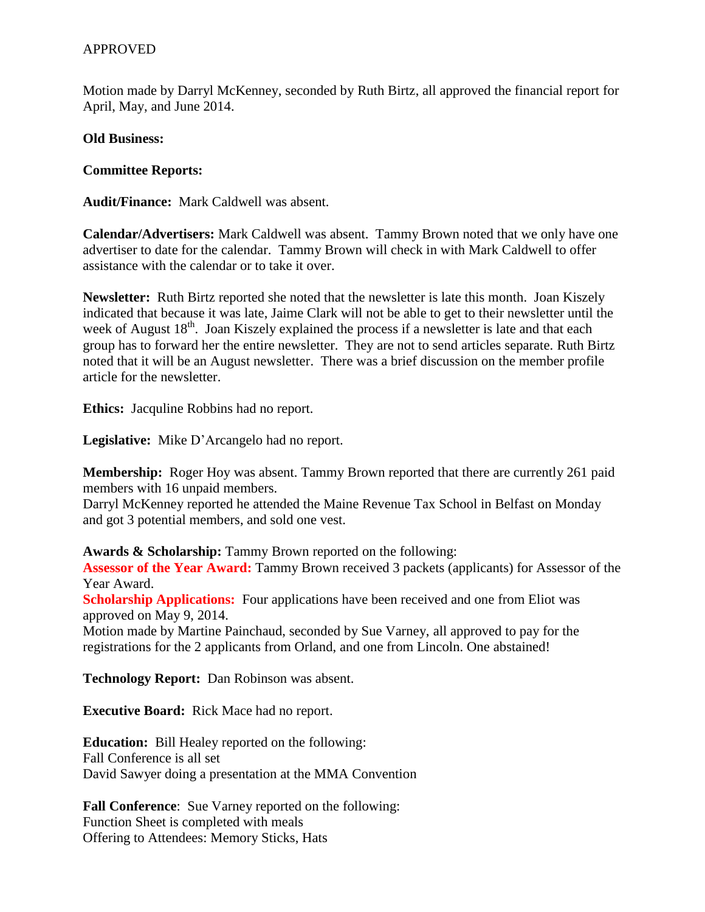Motion made by Darryl McKenney, seconded by Ruth Birtz, all approved the financial report for April, May, and June 2014.

**Old Business:**

**Committee Reports:**

**Audit/Finance:** Mark Caldwell was absent.

**Calendar/Advertisers:** Mark Caldwell was absent. Tammy Brown noted that we only have one advertiser to date for the calendar. Tammy Brown will check in with Mark Caldwell to offer assistance with the calendar or to take it over.

**Newsletter:** Ruth Birtz reported she noted that the newsletter is late this month. Joan Kiszely indicated that because it was late, Jaime Clark will not be able to get to their newsletter until the week of August  $18<sup>th</sup>$ . Joan Kiszely explained the process if a newsletter is late and that each group has to forward her the entire newsletter. They are not to send articles separate. Ruth Birtz noted that it will be an August newsletter. There was a brief discussion on the member profile article for the newsletter.

**Ethics:** Jacquline Robbins had no report.

**Legislative:** Mike D'Arcangelo had no report.

**Membership:** Roger Hoy was absent. Tammy Brown reported that there are currently 261 paid members with 16 unpaid members.

Darryl McKenney reported he attended the Maine Revenue Tax School in Belfast on Monday and got 3 potential members, and sold one vest.

**Awards & Scholarship:** Tammy Brown reported on the following:

**Assessor of the Year Award:** Tammy Brown received 3 packets (applicants) for Assessor of the Year Award.

**Scholarship Applications:** Four applications have been received and one from Eliot was approved on May 9, 2014.

Motion made by Martine Painchaud, seconded by Sue Varney, all approved to pay for the registrations for the 2 applicants from Orland, and one from Lincoln. One abstained!

**Technology Report:** Dan Robinson was absent.

**Executive Board:** Rick Mace had no report.

**Education:** Bill Healey reported on the following: Fall Conference is all set David Sawyer doing a presentation at the MMA Convention

**Fall Conference**: Sue Varney reported on the following: Function Sheet is completed with meals Offering to Attendees: Memory Sticks, Hats